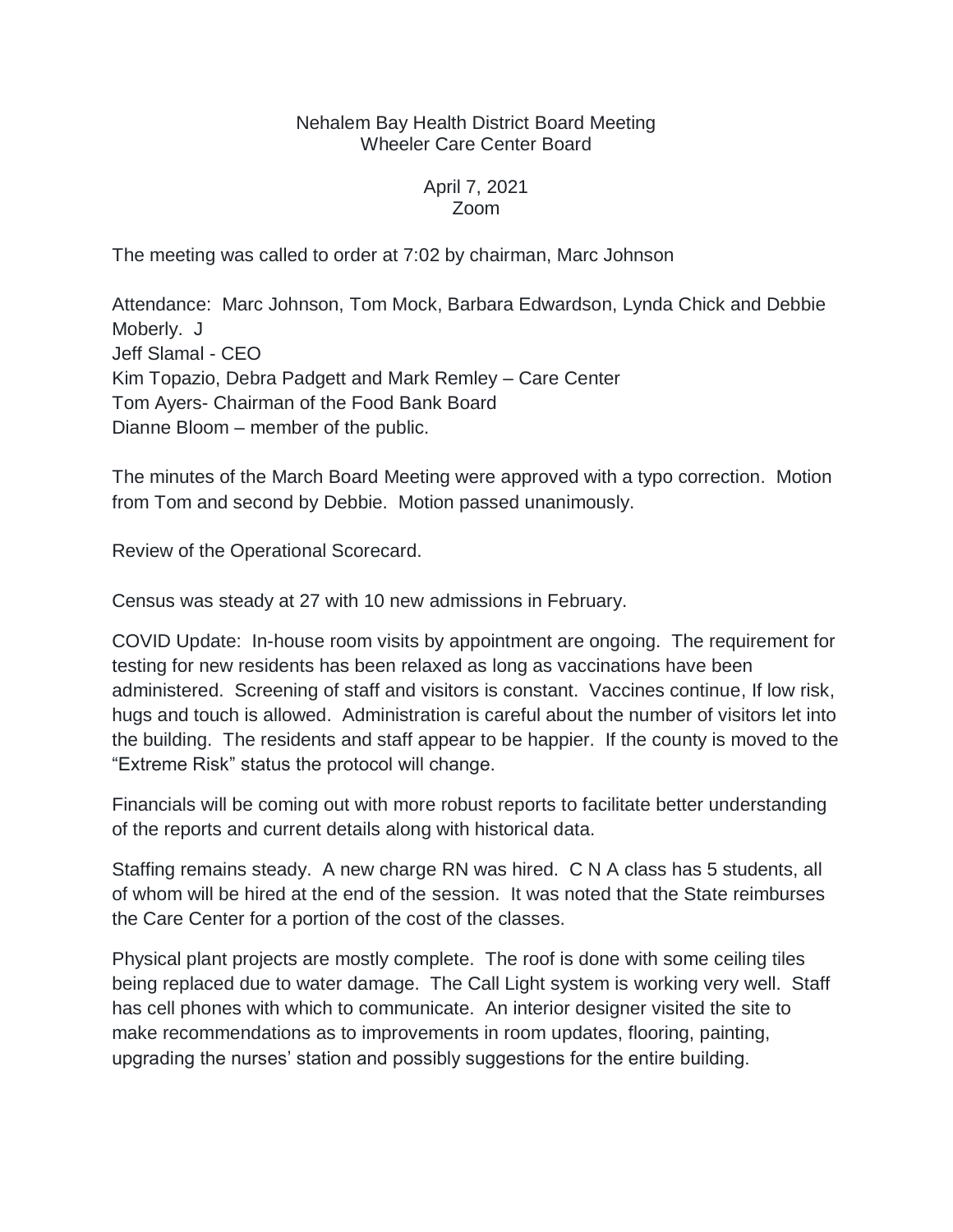## Nehalem Bay Health District Board Meeting Wheeler Care Center Board

## April 7, 2021 Zoom

The meeting was called to order at 7:02 by chairman, Marc Johnson

Attendance: Marc Johnson, Tom Mock, Barbara Edwardson, Lynda Chick and Debbie Moberly. J Jeff Slamal - CEO Kim Topazio, Debra Padgett and Mark Remley – Care Center Tom Ayers- Chairman of the Food Bank Board Dianne Bloom – member of the public.

The minutes of the March Board Meeting were approved with a typo correction. Motion from Tom and second by Debbie. Motion passed unanimously.

Review of the Operational Scorecard.

Census was steady at 27 with 10 new admissions in February.

COVID Update: In-house room visits by appointment are ongoing. The requirement for testing for new residents has been relaxed as long as vaccinations have been administered. Screening of staff and visitors is constant. Vaccines continue, If low risk, hugs and touch is allowed. Administration is careful about the number of visitors let into the building. The residents and staff appear to be happier. If the county is moved to the "Extreme Risk" status the protocol will change.

Financials will be coming out with more robust reports to facilitate better understanding of the reports and current details along with historical data.

Staffing remains steady. A new charge RN was hired. C N A class has 5 students, all of whom will be hired at the end of the session. It was noted that the State reimburses the Care Center for a portion of the cost of the classes.

Physical plant projects are mostly complete. The roof is done with some ceiling tiles being replaced due to water damage. The Call Light system is working very well. Staff has cell phones with which to communicate. An interior designer visited the site to make recommendations as to improvements in room updates, flooring, painting, upgrading the nurses' station and possibly suggestions for the entire building.